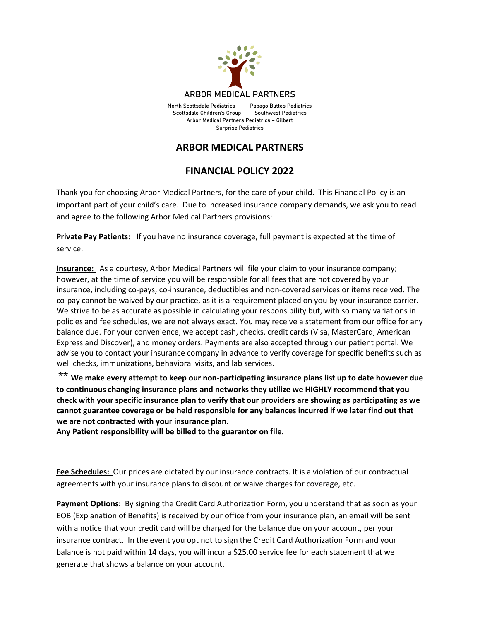

Arbor Medical Partners Pediatrics – Gilbert Surprise Pediatrics

## **ARBOR MEDICAL PARTNERS**

## **FINANCIAL POLICY 2022**

Thank you for choosing Arbor Medical Partners, for the care of your child. This Financial Policy is an important part of your child's care. Due to increased insurance company demands, we ask you to read and agree to the following Arbor Medical Partners provisions:

**Private Pay Patients:** If you have no insurance coverage, full payment is expected at the time of service.

**Insurance:** As a courtesy, Arbor Medical Partners will file your claim to your insurance company; however, at the time of service you will be responsible for all fees that are not covered by your insurance, including co-pays, co-insurance, deductibles and non-covered services or items received. The co-pay cannot be waived by our practice, as it is a requirement placed on you by your insurance carrier. We strive to be as accurate as possible in calculating your responsibility but, with so many variations in policies and fee schedules, we are not always exact. You may receive a statement from our office for any balance due. For your convenience, we accept cash, checks, credit cards (Visa, MasterCard, American Express and Discover), and money orders. Payments are also accepted through our patient portal. We advise you to contact your insurance company in advance to verify coverage for specific benefits such as well checks, immunizations, behavioral visits, and lab services.

\*\* **We make every attempt to keep our non-participating insurance plans list up to date however due to continuous changing insurance plans and networks they utilize we HIGHLY recommend that you check with your specific insurance plan to verify that our providers are showing as participating as we cannot guarantee coverage or be held responsible for any balances incurred if we later find out that we are not contracted with your insurance plan.**

**Any Patient responsibility will be billed to the guarantor on file.** 

**Fee Schedules:** Our prices are dictated by our insurance contracts. It is a violation of our contractual agreements with your insurance plans to discount or waive charges for coverage, etc.

**Payment Options:** By signing the Credit Card Authorization Form, you understand that as soon as your EOB (Explanation of Benefits) is received by our office from your insurance plan, an email will be sent with a notice that your credit card will be charged for the balance due on your account, per your insurance contract. In the event you opt not to sign the Credit Card Authorization Form and your balance is not paid within 14 days, you will incur a \$25.00 service fee for each statement that we generate that shows a balance on your account.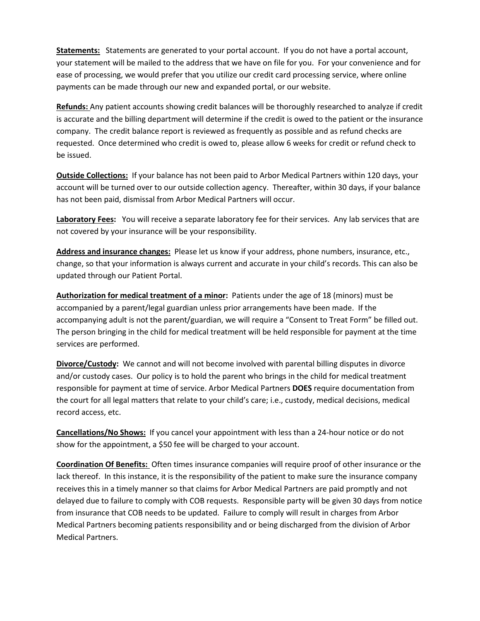**Statements:** Statements are generated to your portal account. If you do not have a portal account, your statement will be mailed to the address that we have on file for you. For your convenience and for ease of processing, we would prefer that you utilize our credit card processing service, where online payments can be made through our new and expanded portal, or our website.

**Refunds:** Any patient accounts showing credit balances will be thoroughly researched to analyze if credit is accurate and the billing department will determine if the credit is owed to the patient or the insurance company. The credit balance report is reviewed as frequently as possible and as refund checks are requested. Once determined who credit is owed to, please allow 6 weeks for credit or refund check to be issued.

**Outside Collections:** If your balance has not been paid to Arbor Medical Partners within 120 days, your account will be turned over to our outside collection agency. Thereafter, within 30 days, if your balance has not been paid, dismissal from Arbor Medical Partners will occur.

**Laboratory Fees:** You will receive a separate laboratory fee for their services. Any lab services that are not covered by your insurance will be your responsibility.

**Address and insurance changes:** Please let us know if your address, phone numbers, insurance, etc., change, so that your information is always current and accurate in your child's records. This can also be updated through our Patient Portal.

**Authorization for medical treatment of a minor:** Patients under the age of 18 (minors) must be accompanied by a parent/legal guardian unless prior arrangements have been made. If the accompanying adult is not the parent/guardian, we will require a "Consent to Treat Form" be filled out. The person bringing in the child for medical treatment will be held responsible for payment at the time services are performed.

**Divorce/Custody:** We cannot and will not become involved with parental billing disputes in divorce and/or custody cases. Our policy is to hold the parent who brings in the child for medical treatment responsible for payment at time of service. Arbor Medical Partners **DOES** require documentation from the court for all legal matters that relate to your child's care; i.e., custody, medical decisions, medical record access, etc.

**Cancellations/No Shows:** If you cancel your appointment with less than a 24-hour notice or do not show for the appointment, a \$50 fee will be charged to your account.

**Coordination Of Benefits:** Often times insurance companies will require proof of other insurance or the lack thereof. In this instance, it is the responsibility of the patient to make sure the insurance company receives this in a timely manner so that claims for Arbor Medical Partners are paid promptly and not delayed due to failure to comply with COB requests. Responsible party will be given 30 days from notice from insurance that COB needs to be updated. Failure to comply will result in charges from Arbor Medical Partners becoming patients responsibility and or being discharged from the division of Arbor Medical Partners.